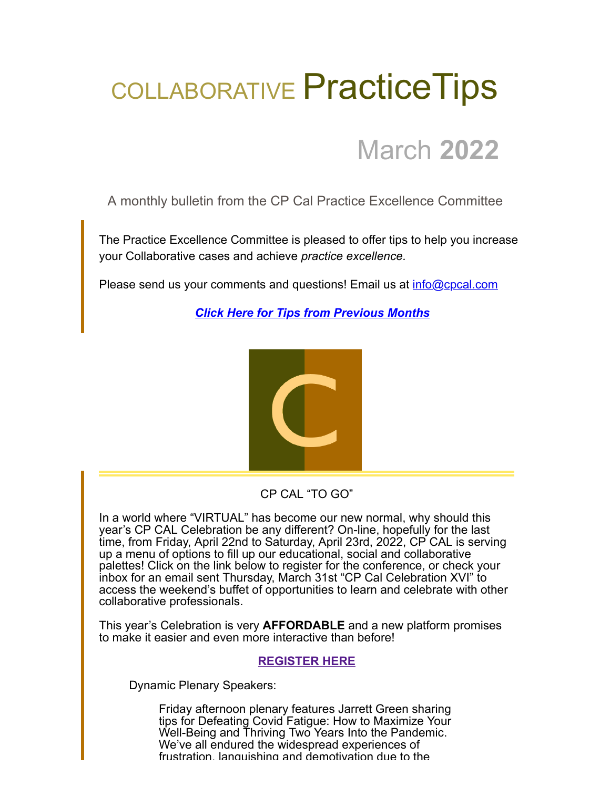## COLLABORATIVE Practice Tips

### March **2022**

A monthly bulletin from the CP Cal Practice Excellence Committee

The Practice Excellence Committee is pleased to offer tips to help you increase your Collaborative cases and achieve *practice excellence.*

Please send us your comments and questions! Email us at [info@cpcal.com](mailto:info@cpcal.com)

*[Click Here for Tips from Previous Months](https://www.cpcal.com/resources/practice-tips-newsletter/)*



CP CAL "TO GO"

In a world where "VIRTUAL" has become our new normal, why should this year's CP CAL Celebration be any different? On-line, hopefully for the last time, from Friday, April 22nd to Saturday, April 23rd, 2022, CP CAL is serving up a menu of options to fill up our educational, social and collaborative palettes! Click on the link below to register for the conference, or check your inbox for an email sent Thursday, March 31st "CP Cal Celebration XVI" to access the weekend's buffet of opportunities to learn and celebrate with other collaborative professionals.

This year's Celebration is very **AFFORDABLE** and a new platform promises to make it easier and even more interactive than before!

#### **[REGISTER HERE](https://cpc49.wildapricot.org/event-4715475)**

Dynamic Plenary Speakers:

Friday afternoon plenary features Jarrett Green sharing tips for Defeating Covid Fatigue: How to Maximize Your Well-Being and Thriving Two Years Into the Pandemic. We've all endured the widespread experiences of frustration, languishing and demotivation due to the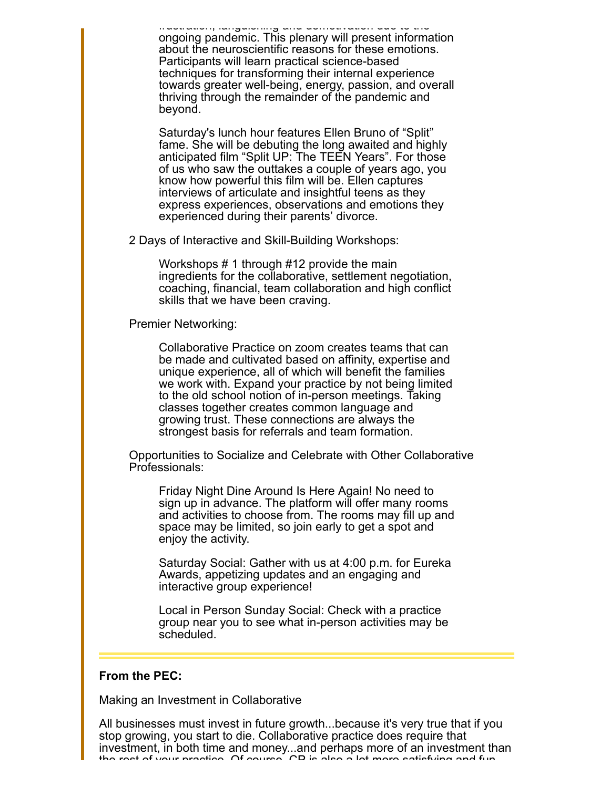frustration, languishing and demotivation due to the ongoing pandemic. This plenary will present information about the neuroscientific reasons for these emotions. Participants will learn practical science-based techniques for transforming their internal experience towards greater well-being, energy, passion, and overall thriving through the remainder of the pandemic and beyond.

Saturday's lunch hour features Ellen Bruno of "Split" fame. She will be debuting the long awaited and highly anticipated film "Split UP: The TEEN Years". For those of us who saw the outtakes a couple of years ago, you know how powerful this film will be. Ellen captures interviews of articulate and insightful teens as they express experiences, observations and emotions they experienced during their parents' divorce.

2 Days of Interactive and Skill-Building Workshops:

Workshops # 1 through #12 provide the main ingredients for the collaborative, settlement negotiation, coaching, financial, team collaboration and high conflict skills that we have been craving.

Premier Networking:

Collaborative Practice on zoom creates teams that can be made and cultivated based on affinity, expertise and unique experience, all of which will benefit the families we work with. Expand your practice by not being limited to the old school notion of in-person meetings. Taking classes together creates common language and growing trust. These connections are always the strongest basis for referrals and team formation.

Opportunities to Socialize and Celebrate with Other Collaborative Professionals:

Friday Night Dine Around Is Here Again! No need to sign up in advance. The platform will offer many rooms and activities to choose from. The rooms may fill up and space may be limited, so join early to get a spot and enjoy the activity.

Saturday Social: Gather with us at 4:00 p.m. for Eureka Awards, appetizing updates and an engaging and interactive group experience!

Local in Person Sunday Social: Check with a practice group near you to see what in-person activities may be scheduled.

#### **From the PEC:**

Making an Investment in Collaborative

All businesses must invest in future growth...because it's very true that if you stop growing, you start to die. Collaborative practice does require that investment, in both time and money...and perhaps more of an investment than the rest of your practice Of course CP is also a lot more satisfying and fun